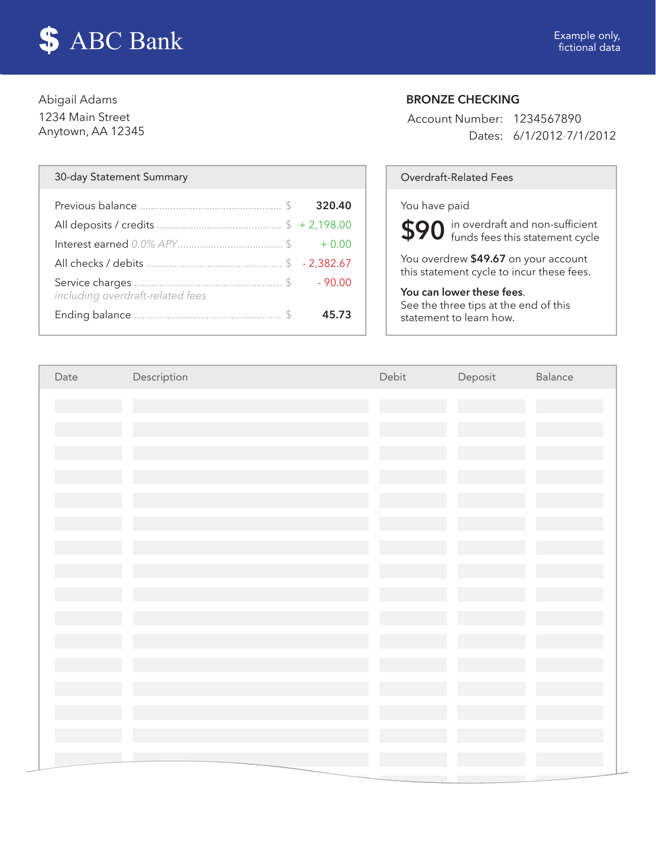

Abigail Adams 1234 Main Street Anytown, AA 12345

#### 30-day Statement Summary and Controller Controller Controller Controller Controller Controller Controller Controller Controller Controller Controller Controller Controller Controller Controller Controller Controller Contro

| including overdraft-related fees |       |
|----------------------------------|-------|
|                                  | 45.73 |

# BRONZE CHECKING

Account Number: 1234567890 Dates: 6/1/2012-7/1/2012

#### You have paid

\$90 in overdraft and non-sufficient<br>\$90 funds fees this statement cycle funds fees this statement cycle

You overdrew \$49.67 on your account this statement cycle to incur these fees.

## You can lower these fees.

See the three tips at the end of this statement to learn how.

| Date | Description | Debit | Deposit | Balance |
|------|-------------|-------|---------|---------|
|      |             |       |         |         |
|      |             |       |         |         |
|      |             |       |         |         |
|      |             |       |         |         |
|      |             |       |         |         |
|      |             |       |         |         |
|      |             |       |         |         |
|      |             |       |         |         |
|      |             |       |         |         |
|      |             |       |         |         |
|      |             |       |         |         |
|      |             |       |         |         |
|      |             |       |         |         |
|      |             |       |         |         |
|      |             |       |         |         |
|      |             |       |         |         |
|      |             |       |         |         |
|      |             |       |         |         |
|      |             |       |         |         |